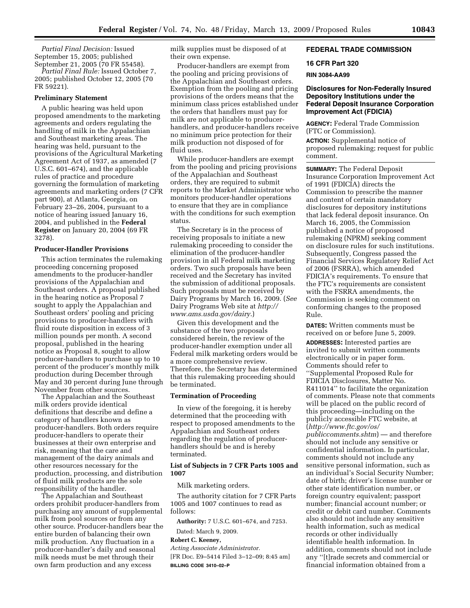*Partial Final Decision:* Issued September 15, 2005; published September 21, 2005 (70 FR 55458).

*Partial Final Rule:* Issued October 7, 2005; published October 12, 2005 (70 FR 59221).

#### **Preliminary Statement**

A public hearing was held upon proposed amendments to the marketing agreements and orders regulating the handling of milk in the Appalachian and Southeast marketing areas. The hearing was held, pursuant to the provisions of the Agricultural Marketing Agreement Act of 1937, as amended (7 U.S.C. 601–674), and the applicable rules of practice and procedure governing the formulation of marketing agreements and marketing orders (7 CFR part 900), at Atlanta, Georgia, on February 23–26, 2004, pursuant to a notice of hearing issued January 16, 2004, and published in the **Federal Register** on January 20, 2004 (69 FR 3278).

### **Producer-Handler Provisions**

This action terminates the rulemaking proceeding concerning proposed amendments to the producer-handler provisions of the Appalachian and Southeast orders. A proposal published in the hearing notice as Proposal 7 sought to apply the Appalachian and Southeast orders' pooling and pricing provisions to producer-handlers with fluid route disposition in excess of 3 million pounds per month. A second proposal, published in the hearing notice as Proposal 8, sought to allow producer-handlers to purchase up to 10 percent of the producer's monthly milk production during December through May and 30 percent during June through November from other sources.

The Appalachian and the Southeast milk orders provide identical definitions that describe and define a category of handlers known as producer-handlers. Both orders require producer-handlers to operate their businesses at their own enterprise and risk, meaning that the care and management of the dairy animals and other resources necessary for the production, processing, and distribution of fluid milk products are the sole responsibility of the handler.

The Appalachian and Southeast orders prohibit producer-handlers from purchasing any amount of supplemental milk from pool sources or from any other source. Producer-handlers bear the entire burden of balancing their own milk production. Any fluctuation in a producer-handler's daily and seasonal milk needs must be met through their own farm production and any excess

milk supplies must be disposed of at their own expense.

Producer-handlers are exempt from the pooling and pricing provisions of the Appalachian and Southeast orders. Exemption from the pooling and pricing provisions of the orders means that the minimum class prices established under the orders that handlers must pay for milk are not applicable to producerhandlers, and producer-handlers receive no minimum price protection for their milk production not disposed of for fluid uses.

While producer-handlers are exempt from the pooling and pricing provisions of the Appalachian and Southeast orders, they are required to submit reports to the Market Administrator who monitors producer-handler operations to ensure that they are in compliance with the conditions for such exemption status.

The Secretary is in the process of receiving proposals to initiate a new rulemaking proceeding to consider the elimination of the producer-handler provision in all Federal milk marketing orders. Two such proposals have been received and the Secretary has invited the submission of additional proposals. Such proposals must be received by Dairy Programs by March 16, 2009. (*See*  Dairy Programs Web site at *http:// www.ams.usda.gov/dairy*.)

Given this development and the substance of the two proposals considered herein, the review of the producer-handler exemption under all Federal milk marketing orders would be a more comprehensive review. Therefore, the Secretary has determined that this rulemaking proceeding should be terminated.

### **Termination of Proceeding**

In view of the foregoing, it is hereby determined that the proceeding with respect to proposed amendments to the Appalachian and Southeast orders regarding the regulation of producerhandlers should be and is hereby terminated.

### **List of Subjects in 7 CFR Parts 1005 and 1007**

Milk marketing orders.

The authority citation for 7 CFR Parts 1005 and 1007 continues to read as follows:

**Authority:** 7 U.S.C. 601–674, and 7253.

Dated: March 9, 2009.

## **Robert C. Keeney,**

*Acting Associate Administrator.* 

[FR Doc. E9–5414 Filed 3–12–09; 8:45 am] **BILLING CODE 3410–02–P** 

## **FEDERAL TRADE COMMISSION**

#### **16 CFR Part 320**

## **RIN 3084-AA99**

## **Disclosures for Non-Federally Insured Depository Institutions under the Federal Deposit Insurance Corporation Improvement Act (FDICIA)**

**AGENCY:** Federal Trade Commission (FTC or Commission).

**ACTION:** Supplemental notice of proposed rulemaking; request for public comment.

**SUMMARY:** The Federal Deposit Insurance Corporation Improvement Act of 1991 (FDICIA) directs the Commission to prescribe the manner and content of certain mandatory disclosures for depository institutions that lack federal deposit insurance. On March 16, 2005, the Commission published a notice of proposed rulemaking (NPRM) seeking comment on disclosure rules for such institutions. Subsequently, Congress passed the Financial Services Regulatory Relief Act of 2006 (FSRRA), which amended FDICIA's requirements. To ensure that the FTC's requirements are consistent with the FSRRA amendments, the Commission is seeking comment on conforming changes to the proposed Rule.

**DATES:** Written comments must be received on or before June 5, 2009.

**ADDRESSES:** Interested parties are invited to submit written comments electronically or in paper form. Comments should refer to ''Supplemental Proposed Rule for FDICIA Disclosures, Matter No. R411014'' to facilitate the organization of comments. Please note that comments will be placed on the public record of this proceeding—including on the publicly accessible FTC website, at (*http://www.ftc.gov/os/ publiccomments.shtm*) — and therefore should not include any sensitive or confidential information. In particular, comments should not include any sensitive personal information, such as an individual's Social Security Number; date of birth; driver's license number or other state identification number, or foreign country equivalent; passport number; financial account number; or credit or debit card number. Comments also should not include any sensitive health information, such as medical records or other individually identifiable health information. In addition, comments should not include any ''[t]rade secrets and commercial or financial information obtained from a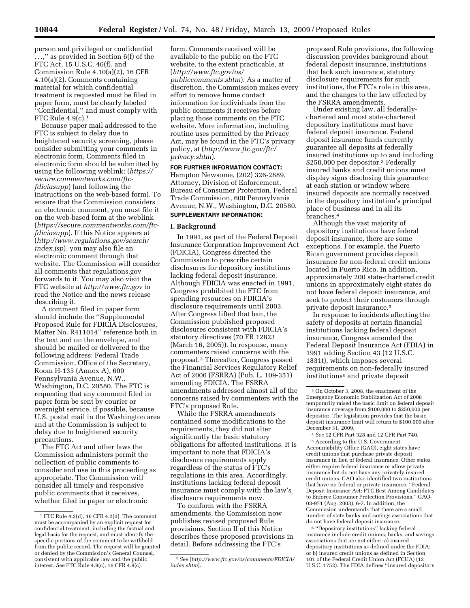person and privileged or confidential . . .,'' as provided in Section 6(f) of the FTC Act, 15 U.S.C. 46(f), and Commission Rule 4.10(a)(2), 16 CFR 4.10(a)(2). Comments containing material for which confidential treatment is requested must be filed in paper form, must be clearly labeled ''Confidential,'' and must comply with FTC Rule 4.9(c).1

Because paper mail addressed to the FTC is subject to delay due to heightened security screening, please consider submitting your comments in electronic form. Comments filed in electronic form should be submitted by using the following weblink: (*https:// secure.commentworks.com/ftcfdiciasupp*) (and following the instructions on the web-based form). To ensure that the Commission considers an electronic comment, you must file it on the web-based form at the weblink (*https://secure.commentworks.com/ftcfdiciasupp*). If this Notice appears at (*http://www.regulations.gov/search/ index.jsp*), you may also file an electronic comment through that website. The Commission will consider all comments that regulations.gov forwards to it. You may also visit the FTC website at *http://www.ftc.gov* to read the Notice and the news release describing it.

A comment filed in paper form should include the ''Supplemental Proposed Rule for FDICIA Disclosures, Matter No. R411014'' reference both in the text and on the envelope, and should be mailed or delivered to the following address: Federal Trade Commission, Office of the Secretary, Room H-135 (Annex A), 600 Pennsylvania Avenue, N.W., Washington, D.C. 20580. The FTC is requesting that any comment filed in paper form be sent by courier or overnight service, if possible, because U.S. postal mail in the Washington area and at the Commission is subject to delay due to heightened security precautions.

The FTC Act and other laws the Commission administers permit the collection of public comments to consider and use in this proceeding as appropriate. The Commission will consider all timely and responsive public comments that it receives, whether filed in paper or electronic

form. Comments received will be available to the public on the FTC website, to the extent practicable, at (*http://www.ftc.gov/os/ publiccomments.shtm*). As a matter of discretion, the Commission makes every effort to remove home contact information for individuals from the public comments it receives before placing those comments on the FTC website. More information, including routine uses permitted by the Privacy Act, may be found in the FTC's privacy policy, at (*http://www.ftc.gov/ftc/ privacy.shtm*).

### **FOR FURTHER INFORMATION CONTACT:**

Hampton Newsome, (202) 326-2889, Attorney, Division of Enforcement, Bureau of Consumer Protection, Federal Trade Commission, 600 Pennsylvania Avenue, N.W., Washington, D.C. 20580.

# **SUPPLEMENTARY INFORMATION:**

## **I. Background**

In 1991, as part of the Federal Deposit Insurance Corporation Improvement Act (FDICIA), Congress directed the Commission to prescribe certain disclosures for depository institutions lacking federal deposit insurance. Although FDICIA was enacted in 1991, Congress prohibited the FTC from spending resources on FDICIA's disclosure requirements until 2003. After Congress lifted that ban, the Commission published proposed disclosures consistent with FDICIA's statutory directives (70 FR 12823 (March 16, 2005)). In response, many commenters raised concerns with the proposal.2 Thereafter, Congress passed the Financial Services Regulatory Relief Act of 2006 (FSRRA) (Pub. L. 109-351) amending FDICIA. The FSRRA amendments addressed almost all of the concerns raised by commenters with the FTC's proposed Rule.

While the FSRRA amendments contained some modifications to the requirements, they did not alter significantly the basic statutory obligations for affected institutions. It is important to note that FDICIA's disclosure requirements apply regardless of the status of FTC's regulations in this area. Accordingly, institutions lacking federal deposit insurance must comply with the law's disclosure requirements now.

To conform with the FSRRA amendments, the Commission now publishes revised proposed Rule provisions. Section II of this Notice describes these proposed provisions in detail. Before addressing the FTC's

proposed Rule provisions, the following discussion provides background about federal deposit insurance, institutions that lack such insurance, statutory disclosure requirements for such institutions, the FTC's role in this area, and the changes to the law effected by the FSRRA amendments.

Under existing law, all federallychartered and most state-chartered depository institutions must have federal deposit insurance. Federal deposit insurance funds currently guarantee all deposits at federally insured institutions up to and including \$250,000 per depositor.3 Federally insured banks and credit unions must display signs disclosing this guarantee at each station or window where insured deposits are normally received in the depository institution's principal place of business and in all its branches.4

Although the vast majority of depository institutions have federal deposit insurance, there are some exceptions. For example, the Puerto Rican government provides deposit insurance for non-federal credit unions located in Puerto Rico. In addition, approximately 200 state-chartered credit unions in approximately eight states do not have federal deposit insurance, and seek to protect their customers through private deposit insurance.5

In response to incidents affecting the safety of deposits at certain financial institutions lacking federal deposit insurance, Congress amended the Federal Deposit Insurance Act (FDIA) in 1991 adding Section 43 (12 U.S.C. 1831t), which imposes several requirements on non-federally insured institutions<sup>6</sup> and private deposit

4 *See* 12 CFR Part 328 and 12 CFR Part 740. 5 According to the U.S. Government Accountability Office (GAO), eight states have credit unions that purchase private deposit insurance in lieu of federal insurance. Other states either require federal insurance or allow private insurance but do not have any privately insured credit unions. GAO also identified two institutions that have no federal or private insurance. ''Federal Deposit Insurance Act: FTC Best Among Candidates to Enforce Consumer Protection Provisions,'' GAO-03-971 (Aug. 2003), 6-7. In addition, the Commission understands that there are a small number of state banks and savings associations that do not have federal deposit insurance.

6 ''Depository institutions'' lacking federal insurance include credit unions, banks, and savings associations that are not either: a) insured depository institutions as defined under the FDIA; or b) insured credit unions as defined in Section 101 of the Federal Credit Union Act (FCUA) (12 U.S.C. 1752). The FDIA defines ''insured depository

<sup>1</sup> FTC Rule 4.2(d), 16 CFR 4.2(d). The comment must be accompanied by an explicit request for confidential treatment, including the factual and legal basis for the request, and must identify the specific portions of the comment to be withheld from the public record. The request will be granted or denied by the Commission's General Counsel, consistent with applicable law and the public interest. *See* FTC Rule 4.9(c), 16 CFR 4.9(c).

<sup>2</sup> *See* (*http://www.ftc.gov/os/comments/FDICIA/ index.shtm*).

<sup>3</sup> On October 3, 2008, the enactment of the Emergency Economic Stabilization Act of 2008 temporarily raised the basic limit on federal deposit insurance coverage from \$100,000 to \$250,000 per depositor. The legislation provides that the basic deposit insurance limit will return to \$100,000 after December 31, 2009.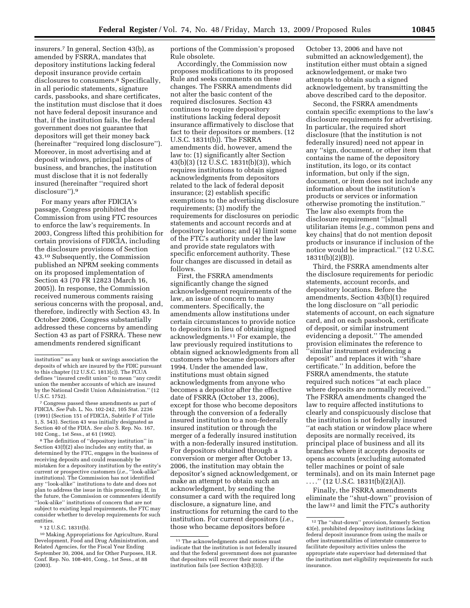insurers.7 In general, Section 43(b), as amended by FSRRA, mandates that depository institutions lacking federal deposit insurance provide certain disclosures to consumers.<sup>8</sup> Specifically, in all periodic statements, signature cards, passbooks, and share certificates, the institution must disclose that it does not have federal deposit insurance and that, if the institution fails, the federal government does not guarantee that depositors will get their money back (hereinafter ''required long disclosure''). Moreover, in most advertising and at deposit windows, principal places of business, and branches, the institution must disclose that it is not federally insured (hereinafter ''required short disclosure'').9

For many years after FDICIA's passage, Congress prohibited the Commission from using FTC resources to enforce the law's requirements. In 2003, Congress lifted this prohibition for certain provisions of FDICIA, including the disclosure provisions of Section 43.10 Subsequently, the Commission published an NPRM seeking comments on its proposed implementation of Section 43 (70 FR 12823 (March 16, 2005)). In response, the Commission received numerous comments raising serious concerns with the proposal, and, therefore, indirectly with Section 43. In October 2006, Congress substantially addressed these concerns by amending Section 43 as part of FSRRA. These new amendments rendered significant

7 Congress passed these amendments as part of FDICIA. *See* Pub. L. No. 102-242, 105 Stat. 2236 (1991) (Section 151 of FDICIA, Subtitle F of Title 1, S. 543). Section 43 was initially designated as Section 40 of the FDIA. *See also* S. Rep. No. 167, 102 Cong., 1st Sess., at 61 (1992).

8 The definition of ''depository institution'' in Section 43(f)(2) also includes any entity that, as determined by the FTC, engages in the business of receiving deposits and could reasonably be mistaken for a depository institution by the entity's current or prospective customers (*i.e.*, ''look-alike'' institutions). The Commission has not identified any ''look-alike'' institutions to date and does not plan to address the issue in this proceeding. If, in the future, the Commission or commenters identify ''look-alike'' institutions of concern that are not subject to existing legal requirements, the FTC may consider whether to develop requirements for such entities.

<sup>9</sup> 12 U.S.C. 1831t(b).

portions of the Commission's proposed Rule obsolete.

Accordingly, the Commission now proposes modifications to its proposed Rule and seeks comments on these changes. The FSRRA amendments did not alter the basic content of the required disclosures. Section 43 continues to require depository institutions lacking federal deposit insurance affirmatively to disclose that fact to their depositors or members. (12 U.S.C. 1831t(b)). The FSRRA amendments did, however, amend the law to: (1) significantly alter Section 43(b)(3) (12 U.S.C. 1831t(b)(3)), which requires institutions to obtain signed acknowledgments from depositors related to the lack of federal deposit insurance; (2) establish specific exemptions to the advertising disclosure requirements; (3) modify the requirements for disclosures on periodic statements and account records and at depository locations; and (4) limit some of the FTC's authority under the law and provide state regulators with specific enforcement authority. These four changes are discussed in detail as follows.

First, the FSRRA amendments significantly change the signed acknowledgement requirements of the law, an issue of concern to many commenters. Specifically, the amendments allow institutions under certain circumstances to provide notice to depositors in lieu of obtaining signed acknowledgments.11 For example, the law previously required institutions to obtain signed acknowledgments from all customers who became depositors after 1994. Under the amended law, institutions must obtain signed acknowledgments from anyone who becomes a depositor after the effective date of FSRRA (October 13, 2006), except for those who become depositors through the conversion of a federally insured institution to a non-federally insured institution or through the merger of a federally insured institution with a non-federally insured institution. For depositors obtained through a conversion or merger after October 13, 2006, the institution may obtain the depositor's signed acknowledgement, or make an attempt to obtain such an acknowledgment, by sending the consumer a card with the required long disclosure, a signature line, and instructions for returning the card to the institution. For current depositors (*i.e.*, those who became depositors before

October 13, 2006 and have not submitted an acknowledgement), the institution either must obtain a signed acknowledgement, or make two attempts to obtain such a signed acknowledgement, by transmitting the above described card to the depositor.

Second, the FSRRA amendments contain specific exemptions to the law's disclosure requirements for advertising. In particular, the required short disclosure (that the institution is not federally insured) need not appear in any ''sign, document, or other item that contains the name of the depository institution, its logo, or its contact information, but only if the sign, document, or item does not include any information about the institution's products or services or information otherwise promoting the institution.'' The law also exempts from the disclosure requirement ''[s]mall utilitarian items [*e.g.*, common pens and key chains] that do not mention deposit products or insurance if inclusion of the notice would be impractical.'' (12 U.S.C. 1831t(b)(2)(B)).

Third, the FSRRA amendments alter the disclosure requirements for periodic statements, account records, and depository locations. Before the amendments, Section 43(b)(1) required the long disclosure on ''all periodic statements of account, on each signature card, and on each passbook, certificate of deposit, or similar instrument evidencing a deposit.'' The amended provision eliminates the reference to ''similar instrument evidencing a deposit'' and replaces it with ''share certificate.'' In addition, before the FSRRA amendments, the statute required such notices ''at each place where deposits are normally received.'' The FSRRA amendments changed the law to require affected institutions to clearly and conspicuously disclose that the institution is not federally insured ''at each station or window place where deposits are normally received, its principal place of business and all its branches where it accepts deposits or opens accounts (excluding automated teller machines or point of sale terminals), and on its main Internet page . . . .'' (12 U.S.C. 1831t(b)(2)(A)).

Finally, the FSRRA amendments eliminate the ''shut-down'' provision of the law12 and limit the FTC's authority

institution'' as any bank or savings association the deposits of which are insured by the FDIC pursuant to this chapter (12 U.S.C. 1813(c)). The FCUA defines ''insured credit union'' to mean ''any credit union the member accounts of which are insured by the National Credit Union Administration.'' (12 U.S.C. 1752).

<sup>10</sup> Making Appropriations for Agriculture, Rural Development, Food and Drug Administration, and Related Agencies, for the Fiscal Year Ending September 30, 2004, and for Other Purposes, H.R. Conf. Rep. No. 108-401, Cong., 1st Sess., at 88 (2003).

<sup>&</sup>lt;sup>11</sup> The acknowledgments and notices must indicate that the institution is not federally insured and that the federal government does not guarantee that depositors will recover their money if the institution fails (*see* Section 43(b)(3)).

<sup>12</sup> The ''shut-down'' provision, formerly Section 43(e), prohibited depository institutions lacking federal deposit insurance from using the mails or other instrumentalities of interstate commerce to facilitate depository activities unless the appropriate state supervisor had determined that the institution met eligibility requirements for such insurance.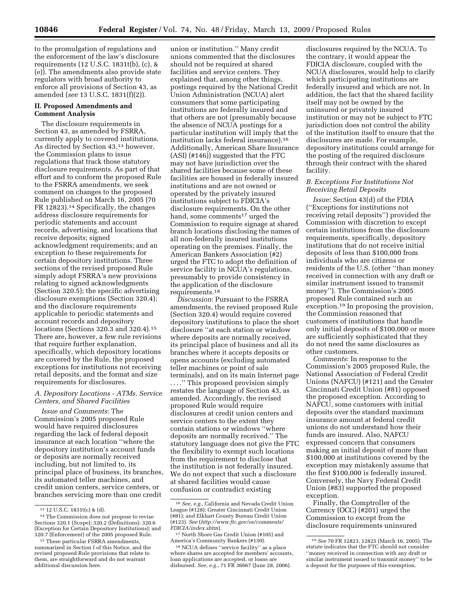to the promulgation of regulations and the enforcement of the law's disclosure requirements (12 U.S.C. 1831t(b), (c), & (e)). The amendments also provide state regulators with broad authority to enforce all provisions of Section 43, as amended (*see* 13 U.S.C. 1831(f)(2)).

## **II. Proposed Amendments and Comment Analysis**

The disclosure requirements in Section 43, as amended by FSRRA, currently apply to covered institutions. As directed by Section 43,13 however, the Commission plans to issue regulations that track those statutory disclosure requirements. As part of that effort and to conform the proposed Rule to the FSRRA amendments, we seek comment on changes to the proposed Rule published on March 16, 2005 (70 FR 12823).14 Specifically, the changes address disclosure requirements for periodic statements and account records, advertising, and locations that receive deposits; signed acknowledgment requirements; and an exception to these requirements for certain depository institutions. Three sections of the revised proposed Rule simply adopt FSRRA's new provisions relating to signed acknowledgments (Section 320.5); the specific advertising disclosure exemptions (Section 320.4); and the disclosure requirements applicable to periodic statements and account records and depository locations (Sections 320.3 and 320.4).15 There are, however, a few rule revisions that require further explanation, specifically, which depository locations are covered by the Rule, the proposed exceptions for institutions not receiving retail deposits, and the format and size requirements for disclosures.

## *A. Depository Locations - ATMs, Service Centers, and Shared Facilities*

*Issue and Comments*: The Commission's 2005 proposed Rule would have required disclosures regarding the lack of federal deposit insurance at each location ''where the depository institution's account funds or deposits are normally received including, but not limited to, its principal place of business, its branches, its automated teller machines, and credit union centers, service centers, or branches servicing more than one credit

union or institution.'' Many credit unions commented that the disclosures should not be required at shared facilities and service centers. They explained that, among other things, postings required by the National Credit Union Administration (NCUA) alert consumers that some participating institutions are federally insured and that others are not (presumably because the absence of NCUA postings for a particular institution will imply that the institution lacks federal insurance).16 Additionally, American Share Insurance (ASI) (#146)) suggested that the FTC may not have jurisdiction over the shared facilities because some of these facilities are housed in federally insured institutions and are not owned or operated by the privately insured institutions subject to FDICIA's disclosure requirements. On the other hand, some comments<sup>17</sup> urged the Commission to require signage at shared branch locations disclosing the names of all non-federally insured institutions operating on the premises. Finally, the American Bankers Association (#2) urged the FTC to adopt the definition of service facility in NCUA's regulations, presumably to provide consistency in the application of the disclosure requirements.18

*Discussion*: Pursuant to the FSRRA amendments, the revised proposed Rule (Section 320.4) would require covered depository institutions to place the short disclosure ''at each station or window where deposits are normally received, its principal place of business and all its branches where it accepts deposits or opens accounts (excluding automated teller machines or point of sale terminals), and on its main Internet page . . . .'' This proposed provision simply restates the language of Section 43, as amended. Accordingly, the revised proposed Rule would require disclosures at credit union centers and service centers to the extent they contain stations or windows ''where deposits are normally received.'' The statutory language does not give the FTC the flexibility to exempt such locations from the requirement to disclose that the institution is not federally insured. We do not expect that such a disclosure at shared facilities would cause confusion or contradict existing

disclosures required by the NCUA. To the contrary, it would appear the FDICIA disclosure, coupled with the NCUA disclosures, would help to clarify which participating institutions are federally insured and which are not. In addition, the fact that the shared facility itself may not be owned by the uninsured or privately insured institution or may not be subject to FTC jurisdiction does not control the ability of the institution itself to ensure that the disclosures are made. For example, depository institutions could arrange for the posting of the required disclosure through their contract with the shared facility.

### *B. Exceptions For Institutions Not Receiving Retail Deposits*

*Issue*: Section 43(d) of the FDIA (''Exceptions for institutions not receiving retail deposits'') provided the Commission with discretion to except certain institutions from the disclosure requirements, specifically, depository institutions that do not receive initial deposits of less than \$100,000 from individuals who are citizens or residents of the U.S. (other ''than money received in connection with any draft or similar instrument issued to transmit money''). The Commission's 2005 proposed Rule contained such an exception.19 In proposing the provision, the Commission reasoned that customers of institutions that handle only initial deposits of \$100,000 or more are sufficiently sophisticated that they do not need the same disclosures as other customers.

*Comments*: In response to the Commission's 2005 proposed Rule, the National Association of Federal Credit Unions (NAFCU) (#121) and the Greater Cincinnati Credit Union (#81) opposed the proposed exception. According to NAFCU, some customers with initial deposits over the standard maximum insurance amount at federal credit unions do not understand how their funds are insured. Also, NAFCU expressed concern that consumers making an initial deposit of more than \$100,000 at institutions covered by the exception may mistakenly assume that the first \$100,000 is federally insured. Conversely, the Navy Federal Credit Union (#83) supported the proposed exception.

Finally, the Comptroller of the Currency (OCC) (#201) urged the Commission to except from the disclosure requirements uninsured

<sup>13</sup> 12 U.S.C. 1831t(c) & (d). 14 The Commission does not propose to revise Sections 320.1 (Scope); 320.2 (Definitions); 320.6 (Exception for Certain Depository Institutions); and<br>320.7 (Enforcement) of the 2005 proposed Rule.

<sup>&</sup>lt;sup>15</sup> These particular FSRRA amendments, summarized in Section I of this Notice, and the revised proposed Rule provisions that relate to them, are straightforward and do not warrant additional discussion here.

<sup>16</sup> *See, e.g.*, California and Nevada Credit Union League (#128); Greater Cincinnati Credit Union (#81); and Elkhart County Bureau Credit Union (#123). *See* (*http://www.ftc.gov/os/comments/* 

<sup>&</sup>lt;sup>17</sup> North Shore Gas Credit Union (#105) and<br>America's Community Bankers (#130).

<sup>&</sup>lt;sup>18</sup> NCUA defines "service facility" as a place where shares are accepted for members' accounts, loan applications are accepted, or loans are disbursed. *See, e.g.*, 71 FR 36667 (June 28, 2006).

<sup>19</sup> *See* 70 FR 12823, 12825 (March 16, 2005). The statute indicates that the FTC should not consider ''money received in connection with any draft or similar instrument issued to transmit money'' to be a deposit for the purposes of this exemption.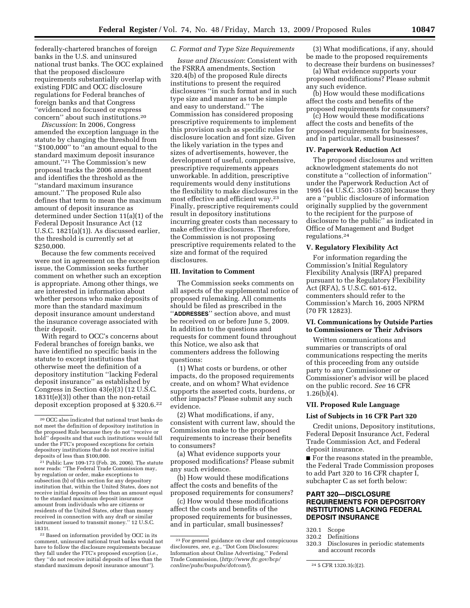federally-chartered branches of foreign banks in the U.S. and uninsured national trust banks. The OCC explained that the proposed disclosure requirements substantially overlap with existing FDIC and OCC disclosure regulations for Federal branches of foreign banks and that Congress ''evidenced no focused or express concern'' about such institutions.20

*Discussion*: In 2006, Congress amended the exception language in the statute by changing the threshold from ''\$100,000'' to ''an amount equal to the standard maximum deposit insurance amount.''21 The Commission's new proposal tracks the 2006 amendment and identifies the threshold as the ''standard maximum insurance amount.'' The proposed Rule also defines that term to mean the maximum amount of deposit insurance as determined under Section 11(a)(1) of the Federal Deposit Insurance Act (12 U.S.C. 1821(a)(1)). As discussed earlier, the threshold is currently set at \$250,000.

Because the few comments received were not in agreement on the exception issue, the Commission seeks further comment on whether such an exception is appropriate. Among other things, we are interested in information about whether persons who make deposits of more than the standard maximum deposit insurance amount understand the insurance coverage associated with their deposit.

With regard to OCC's concerns about Federal branches of foreign banks, we have identified no specific basis in the statute to except institutions that otherwise meet the definition of a depository institution ''lacking Federal deposit insurance'' as established by Congress in Section 43(e)(3) (12 U.S.C. 1831t(e)(3)) other than the non-retail deposit exception proposed at § 320.6.22

## *C. Format and Type Size Requirements*

*Issue and Discussion*: Consistent with the FSRRA amendments, Section 320.4(b) of the proposed Rule directs institutions to present the required disclosures ''in such format and in such type size and manner as to be simple and easy to understand.'' The Commission has considered proposing prescriptive requirements to implement this provision such as specific rules for disclosure location and font size. Given the likely variation in the types and sizes of advertisements, however, the development of useful, comprehensive, prescriptive requirements appears unworkable. In addition, prescriptive requirements would deny institutions the flexibility to make disclosures in the most effective and efficient way.23 Finally, prescriptive requirements could result in depository institutions incurring greater costs than necessary to make effective disclosures. Therefore, the Commission is not proposing prescriptive requirements related to the size and format of the required disclosures.

### **III. Invitation to Comment**

The Commission seeks comments on all aspects of the supplemental notice of proposed rulemaking. All comments should be filed as prescribed in the ''**ADDRESSES**'' section above, and must be received on or before June 5, 2009. In addition to the questions and requests for comment found throughout this Notice, we also ask that commenters address the following questions:

(1) What costs or burdens, or other impacts, do the proposed requirements create, and on whom? What evidence supports the asserted costs, burdens, or other impacts? Please submit any such evidence.

(2) What modifications, if any, consistent with current law, should the Commission make to the proposed requirements to increase their benefits to consumers?

(a) What evidence supports your proposed modifications? Please submit any such evidence.

(b) How would these modifications affect the costs and benefits of the proposed requirements for consumers?

(c) How would these modifications affect the costs and benefits of the proposed requirements for businesses, and in particular, small businesses?

(3) What modifications, if any, should be made to the proposed requirements to decrease their burdens on businesses?

(a) What evidence supports your proposed modifications? Please submit any such evidence.

(b) How would these modifications affect the costs and benefits of the proposed requirements for consumers?

(c) How would these modifications affect the costs and benefits of the proposed requirements for businesses, and in particular, small businesses?

### **IV. Paperwork Reduction Act**

The proposed disclosures and written acknowledgment statements do not constitute a ''collection of information'' under the Paperwork Reduction Act of 1995 (44 U.S.C. 3501-3520) because they are a ''public disclosure of information originally supplied by the government to the recipient for the purpose of disclosure to the public'' as indicated in Office of Management and Budget regulations.24

### **V. Regulatory Flexibility Act**

For information regarding the Commission's Initial Regulatory Flexibility Analysis (IRFA) prepared pursuant to the Regulatory Flexibility Act (RFA), 5 U.S.C. 601-612, commenters should refer to the Commission's March 16, 2005 NPRM (70 FR 12823).

### **VI. Communications by Outside Parties to Commissioners or Their Advisors**

Written communications and summaries or transcripts of oral communications respecting the merits of this proceeding from any outside party to any Commissioner or Commissioner's advisor will be placed on the public record. *See* 16 CFR  $1.26(b)(4)$ .

#### **VII. Proposed Rule Language**

#### **List of Subjects in 16 CFR Part 320**

Credit unions, Depository institutions, Federal Deposit Insurance Act, Federal Trade Commission Act, and Federal deposit insurance.

■ For the reasons stated in the preamble, the Federal Trade Commission proposes to add Part 320 to 16 CFR chapter I, subchapter C as set forth below:

## **PART 320—DISCLOSURE REQUIREMENTS FOR DEPOSITORY INSTITUTIONS LACKING FEDERAL DEPOSIT INSURANCE**

320.1 Scope

Disclosures in periodic statements and account records

<sup>20</sup> OCC also indicated that national trust banks do not meet the definition of depository institution in the proposed Rule because they do not ''receive or hold'' deposits and that such institutions would fall under the FTC's proposed exceptions for certain depository institutions that do not receive initial<br>deposits of less than \$100,000.

 $21$  Public Law  $109-173$  (Feb. 26, 2006). The statute now reads: ''The Federal Trade Commission may, by regulation or order, make exceptions to subsection (b) of this section for any depository institution that, within the United States, does not receive initial deposits of less than an amount equal to the standard maximum deposit insurance amount from individuals who are citizens or residents of the United States, other than money received in connection with any draft or similar instrument issued to transmit money.'' 12 U.S.C.

<sup>&</sup>lt;sup>22</sup> Based on information provided by OCC in its comment, uninsured national trust banks would not have to follow the disclosure requirements because they fall under the FTC's proposed exception (*i.e.*, they ''do not receive initial deposits of less than the standard maximum deposit insurance amount'').

<sup>23</sup> For general guidance on clear and conspicuous disclosures, *see, e.g.*, ''Dot Com Disclosures: Information about Online Advertising,'' Federal Trade Commission, (*http://www.ftc.gov/bcp/ conline/pubs/buspubs/dotcom/*). 24 5 CFR 1320.3(c)(2).

<sup>320.2</sup> Definitions<br>320.3 Disclosures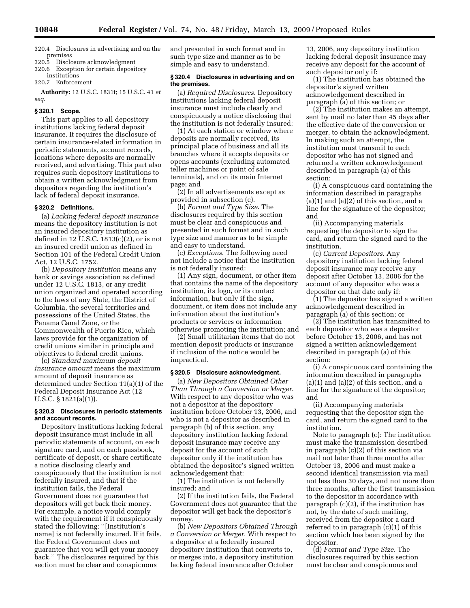- 320.4 Disclosures in advertising and on the premises
- 320.5 Disclosure acknowledgment
- 320.6 Exception for certain depository institutions
- 320.7 Enforcement

**Authority:** 12 U.S.C. 1831t; 15 U.S.C. 41 *et seq.* 

#### **§ 320.1 Scope.**

This part applies to all depository institutions lacking federal deposit insurance. It requires the disclosure of certain insurance-related information in periodic statements, account records, locations where deposits are normally received, and advertising. This part also requires such depository institutions to obtain a written acknowledgment from depositors regarding the institution's lack of federal deposit insurance.

#### **§ 320.2 Definitions.**

(a) *Lacking federal deposit insurance*  means the depository institution is not an insured depository institution as defined in 12 U.S.C. 1813(c)(2), or is not an insured credit union as defined in Section 101 of the Federal Credit Union Act, 12 U.S.C. 1752.

(b) *Depository institution* means any bank or savings association as defined under 12 U.S.C. 1813, or any credit union organized and operated according to the laws of any State, the District of Columbia, the several territories and possessions of the United States, the Panama Canal Zone, or the Commonwealth of Puerto Rico, which laws provide for the organization of credit unions similar in principle and objectives to federal credit unions.

(c) *Standard maximum deposit insurance amount* means the maximum amount of deposit insurance as determined under Section 11(a)(1) of the Federal Deposit Insurance Act (12 U.S.C. § 1821(a)(1)).

## **§ 320.3 Disclosures in periodic statements and account records.**

Depository institutions lacking federal deposit insurance must include in all periodic statements of account, on each signature card, and on each passbook, certificate of deposit, or share certificate a notice disclosing clearly and conspicuously that the institution is not federally insured, and that if the institution fails, the Federal Government does not guarantee that depositors will get back their money. For example, a notice would comply with the requirement if it conspicuously stated the following: ''[Institution's name] is not federally insured. If it fails, the Federal Government does not guarantee that you will get your money back.'' The disclosures required by this section must be clear and conspicuous

and presented in such format and in such type size and manner as to be simple and easy to understand.

#### **§ 320.4 Disclosures in advertising and on the premises.**

(a) *Required Disclosures*. Depository institutions lacking federal deposit insurance must include clearly and conspicuously a notice disclosing that the institution is not federally insured:

(1) At each station or window where deposits are normally received, its principal place of business and all its branches where it accepts deposits or opens accounts (excluding automated teller machines or point of sale terminals), and on its main Internet page; and

(2) In all advertisements except as provided in subsection (c).

(b) *Format and Type Size*. The disclosures required by this section must be clear and conspicuous and presented in such format and in such type size and manner as to be simple and easy to understand.

(c) *Exceptions*. The following need not include a notice that the institution is not federally insured:

(1) Any sign, document, or other item that contains the name of the depository institution, its logo, or its contact information, but only if the sign, document, or item does not include any information about the institution's products or services or information otherwise promoting the institution; and

(2) Small utilitarian items that do not mention deposit products or insurance if inclusion of the notice would be impractical.

## **§ 320.5 Disclosure acknowledgment.**

(a) *New Depositors Obtained Other Than Through a Conversion or Merger*. With respect to any depositor who was not a depositor at the depository institution before October 13, 2006, and who is not a depositor as described in paragraph (b) of this section, any depository institution lacking federal deposit insurance may receive any deposit for the account of such depositor only if the institution has obtained the depositor's signed written acknowledgement that:

(1) The institution is not federally insured; and

(2) If the institution fails, the Federal Government does not guarantee that the depositor will get back the depositor's money.

(b) *New Depositors Obtained Through a Conversion or Merger*. With respect to a depositor at a federally insured depository institution that converts to, or merges into, a depository institution lacking federal insurance after October

13, 2006, any depository institution lacking federal deposit insurance may receive any deposit for the account of such depositor only if:

(1) The institution has obtained the depositor's signed written acknowledgement described in paragraph (a) of this section; or

(2) The institution makes an attempt, sent by mail no later than 45 days after the effective date of the conversion or merger, to obtain the acknowledgment. In making such an attempt, the institution must transmit to each depositor who has not signed and returned a written acknowledgement described in paragraph (a) of this section:

(i) A conspicuous card containing the information described in paragraphs  $(a)(1)$  and  $(a)(2)$  of this section, and a line for the signature of the depositor; and

(ii) Accompanying materials requesting the depositor to sign the card, and return the signed card to the institution.

(c) *Current Depositors*. Any depository institution lacking federal deposit insurance may receive any deposit after October 13, 2006 for the account of any depositor who was a depositor on that date only if:

(1) The depositor has signed a written acknowledgement described in paragraph (a) of this section; or

(2) The institution has transmitted to each depositor who was a depositor before October 13, 2006, and has not signed a written acknowledgement described in paragraph (a) of this section:

(i) A conspicuous card containing the information described in paragraphs (a)(1) and (a)(2) of this section, and a line for the signature of the depositor; and

(ii) Accompanying materials requesting that the depositor sign the card, and return the signed card to the institution.

Note to paragraph (c): The institution must make the transmission described in paragraph (c)(2) of this section via mail not later than three months after October 13, 2006 and must make a second identical transmission via mail not less than 30 days, and not more than three months, after the first transmission to the depositor in accordance with paragraph (c)(2), if the institution has not, by the date of such mailing, received from the depositor a card referred to in paragraph (c)(1) of this section which has been signed by the depositor.

(d) *Format and Type Size*. The disclosures required by this section must be clear and conspicuous and